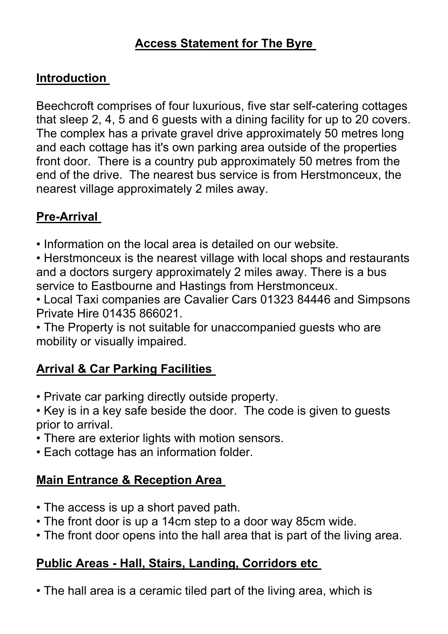## **Access Statement for The Byre**

### **Introduction**

Beechcroft comprises of four luxurious, five star self-catering cottages that sleep 2, 4, 5 and 6 guests with a dining facility for up to 20 covers. The complex has a private gravel drive approximately 50 metres long and each cottage has it's own parking area outside of the properties front door. There is a country pub approximately 50 metres from the end of the drive. The nearest bus service is from Herstmonceux, the nearest village approximately 2 miles away.

## **Pre-Arrival**

• Information on the local area is detailed on our website.

• Herstmonceux is the nearest village with local shops and restaurants and a doctors surgery approximately 2 miles away. There is a bus service to Eastbourne and Hastings from Herstmonceux.

• Local Taxi companies are Cavalier Cars 01323 84446 and Simpsons Private Hire 01435 866021.

• The Property is not suitable for unaccompanied guests who are mobility or visually impaired.

### **Arrival & Car Parking Facilities**

- Private car parking directly outside property.
- Key is in a key safe beside the door. The code is given to guests prior to arrival.
- There are exterior lights with motion sensors.
- Each cottage has an information folder.

### **Main Entrance & Reception Area**

- The access is up a short paved path.
- The front door is up a 14cm step to a door way 85cm wide.
- The front door opens into the hall area that is part of the living area.

### **Public Areas - Hall, Stairs, Landing, Corridors etc**

• The hall area is a ceramic tiled part of the living area, which is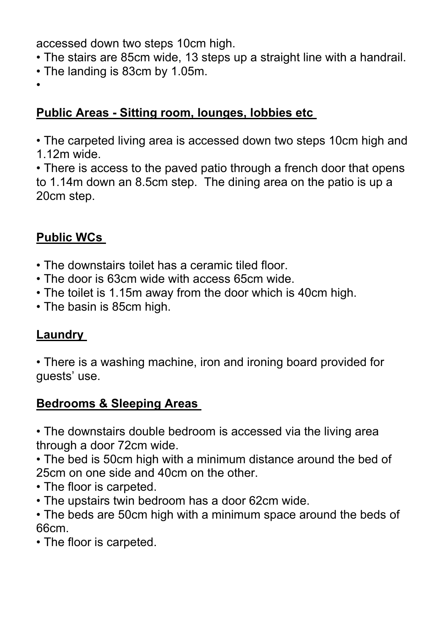accessed down two steps 10cm high.

- The stairs are 85cm wide, 13 steps up a straight line with a handrail.
- The landing is 83cm by 1.05m.

•

# **Public Areas - Sitting room, lounges, lobbies etc**

• The carpeted living area is accessed down two steps 10cm high and 1.12m wide.

• There is access to the paved patio through a french door that opens to 1.14m down an 8.5cm step. The dining area on the patio is up a 20cm step.

# **Public WCs**

- The downstairs toilet has a ceramic tiled floor.
- The door is 63cm wide with access 65cm wide.
- The toilet is 1.15m away from the door which is 40cm high.
- The basin is 85cm high.

# **Laundry**

• There is a washing machine, iron and ironing board provided for guests' use.

# **Bedrooms & Sleeping Areas**

• The downstairs double bedroom is accessed via the living area through a door 72cm wide.

• The bed is 50cm high with a minimum distance around the bed of 25cm on one side and 40cm on the other.

- The floor is carpeted.
- The upstairs twin bedroom has a door 62cm wide.

• The beds are 50cm high with a minimum space around the beds of 66cm.

• The floor is carpeted.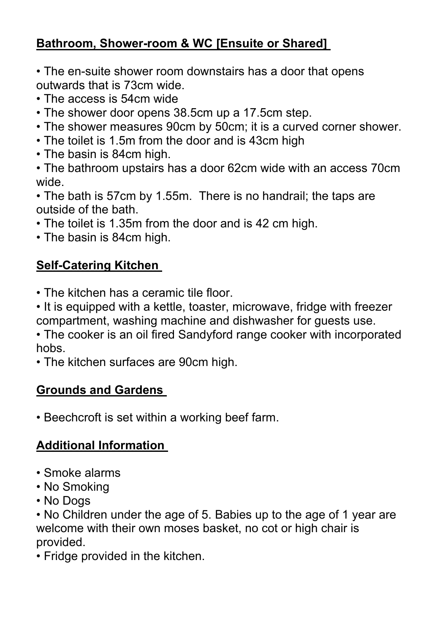# **Bathroom, Shower-room & WC [Ensuite or Shared]**

• The en-suite shower room downstairs has a door that opens outwards that is 73cm wide.

- The access is 54cm wide
- The shower door opens 38.5cm up a 17.5cm step.
- The shower measures 90cm by 50cm; it is a curved corner shower.
- The toilet is 1.5m from the door and is 43cm high
- The basin is 84cm high.
- The bathroom upstairs has a door 62cm wide with an access 70cm wide.

• The bath is 57cm by 1.55m. There is no handrail; the taps are outside of the bath.

- The toilet is 1.35m from the door and is 42 cm high.
- The basin is 84cm high.

# **Self-Catering Kitchen**

• The kitchen has a ceramic tile floor.

• It is equipped with a kettle, toaster, microwave, fridge with freezer compartment, washing machine and dishwasher for guests use.

• The cooker is an oil fired Sandyford range cooker with incorporated hobs.

• The kitchen surfaces are 90cm high.

### **Grounds and Gardens**

• Beechcroft is set within a working beef farm.

## **Additional Information**

- Smoke alarms
- No Smoking
- No Dogs

• No Children under the age of 5. Babies up to the age of 1 year are welcome with their own moses basket, no cot or high chair is provided.

• Fridge provided in the kitchen.